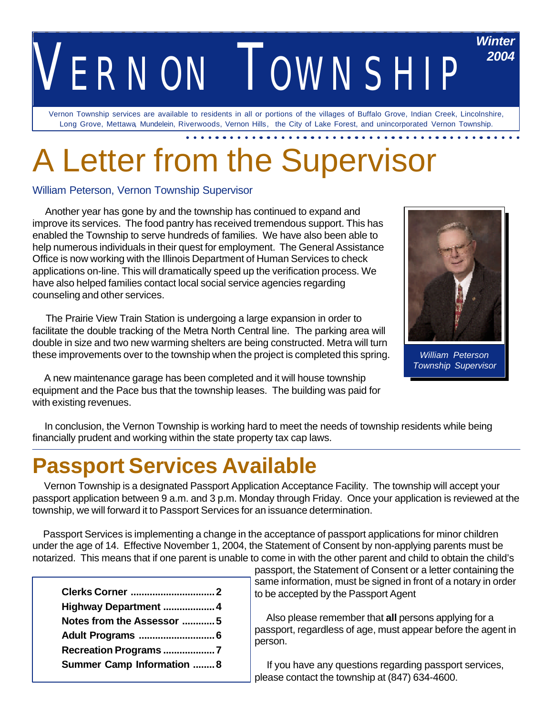## *VERNON TOWNSHIP Winter 2004*

Vernon Township services are available to residents in all or portions of the villages of Buffalo Grove, Indian Creek, Lincolnshire, Long Grove, Mettawa, Mundelein, Riverwoods, Vernon Hills, the City of Lake Forest, and unincorporated Vernon Township.

# A Letter from the Supervisor

#### William Peterson, Vernon Township Supervisor

 Another year has gone by and the township has continued to expand and improve its services. The food pantry has received tremendous support. This has enabled the Township to serve hundreds of families. We have also been able to help numerous individuals in their quest for employment. The General Assistance Office is now working with the Illinois Department of Human Services to check applications on-line. This will dramatically speed up the verification process. We have also helped families contact local social service agencies regarding counseling and other services.

 The Prairie View Train Station is undergoing a large expansion in order to facilitate the double tracking of the Metra North Central line. The parking area will double in size and two new warming shelters are being constructed. Metra will turn these improvements over to the township when the project is completed this spring.

 A new maintenance garage has been completed and it will house township equipment and the Pace bus that the township leases. The building was paid for with existing revenues.



*William Peterson Township Supervisor*

 In conclusion, the Vernon Township is working hard to meet the needs of township residents while being financially prudent and working within the state property tax cap laws.

## **Passport Services Available**

 Vernon Township is a designated Passport Application Acceptance Facility. The township will accept your passport application between 9 a.m. and 3 p.m. Monday through Friday. Once your application is reviewed at the township, we will forward it to Passport Services for an issuance determination.

 Passport Services is implementing a change in the acceptance of passport applications for minor children under the age of 14. Effective November 1, 2004, the Statement of Consent by non-applying parents must be notarized. This means that if one parent is unable to come in with the other parent and child to obtain the child's

| Highway Department  4             |  |
|-----------------------------------|--|
| Notes from the Assessor 5         |  |
| Adult Programs  6                 |  |
| Recreation Programs 7             |  |
| <b>Summer Camp Information  8</b> |  |

passport, the Statement of Consent or a letter containing the same information, must be signed in front of a notary in order to be accepted by the Passport Agent

 Also please remember that **all** persons applying for a passport, regardless of age, must appear before the agent in person.

 If you have any questions regarding passport services, please contact the township at (847) 634-4600.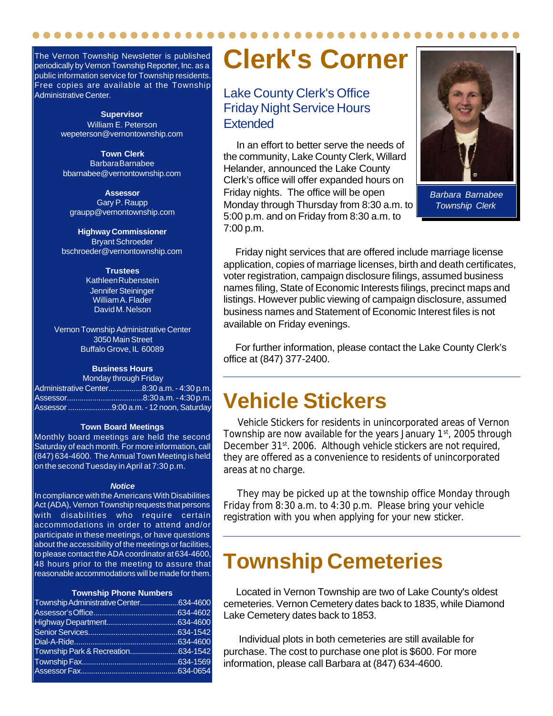The Vernon Township Newsletter is published periodically by Vernon Township Reporter, Inc. as a public information service for Township residents. Free copies are available at the Township Administrative Center.

> **Supervisor** William E. Peterson wepeterson@vernontownship.com

**Town Clerk** Barbara Barnabee bbarnabee@vernontownship.com

**Assessor** Gary P. Raupp graupp@vernontownship.com

**Highway Commissioner** Bryant Schroeder bschroeder@vernontownship.com

> **Trustees** Kathleen Rubenstein Jennifer Steininger William A. Flader David M. Nelson

Vernon Township Administrative Center 3050 Main Street Buffalo Grove, IL 60089

#### **Business Hours**

Monday through Friday Administrative Center................8:30 a.m. - 4:30 p.m. Assessor....................................8:30 a.m. - 4:30 p.m. Assessor .....................9:00 a.m. - 12 noon, Saturday

#### **Town Board Meetings**

Monthly board meetings are held the second Saturday of each month. For more information, call (847) 634-4600. The Annual Town Meeting is held on the second Tuesday in April at 7:30 p.m.

#### *Notice*

In compliance with the Americans With Disabilities Act (ADA), Vernon Township requests that persons with disabilities who require certain accommodations in order to attend and/or participate in these meetings, or have questions about the accessibility of the meetings or facilities, to please contact the ADA coordinator at 634-4600, 48 hours prior to the meeting to assure that reasonable accommodations will be made for them.

#### **Township Phone Numbers**

| Township Administrative Center634-4600 |  |
|----------------------------------------|--|
|                                        |  |
|                                        |  |
|                                        |  |
|                                        |  |
| Township Park & Recreation634-1542     |  |
|                                        |  |
|                                        |  |
|                                        |  |

## **Clerk's Corner**

#### Lake County Clerk's Office Friday Night Service Hours **Extended**

 In an effort to better serve the needs of the community, Lake County Clerk, Willard Helander, announced the Lake County Clerk's office will offer expanded hours on Friday nights. The office will be open Monday through Thursday from 8:30 a.m. to 5:00 p.m. and on Friday from 8:30 a.m. to 7:00 p.m.



*Barbara Barnabee Township Clerk*

 Friday night services that are offered include marriage license application, copies of marriage licenses, birth and death certificates, voter registration, campaign disclosure filings, assumed business names filing, State of Economic Interests filings, precinct maps and listings. However public viewing of campaign disclosure, assumed business names and Statement of Economic Interest files is not available on Friday evenings.

 For further information, please contact the Lake County Clerk's office at (847) 377-2400.

## **Vehicle Stickers**

 Vehicle Stickers for residents in unincorporated areas of Vernon Township are now available for the years January 1<sup>st</sup>, 2005 through December 31<sup>st</sup>. 2006. Although vehicle stickers are not required, they are offered as a convenience to residents of unincorporated areas at no charge.

 They may be picked up at the township office Monday through Friday from 8:30 a.m. to 4:30 p.m. Please bring your vehicle registration with you when applying for your new sticker.

## **Township Cemeteries**

 Located in Vernon Township are two of Lake County's oldest cemeteries. Vernon Cemetery dates back to 1835, while Diamond Lake Cemetery dates back to 1853.

 Individual plots in both cemeteries are still available for purchase. The cost to purchase one plot is \$600. For more information, please call Barbara at (847) 634-4600.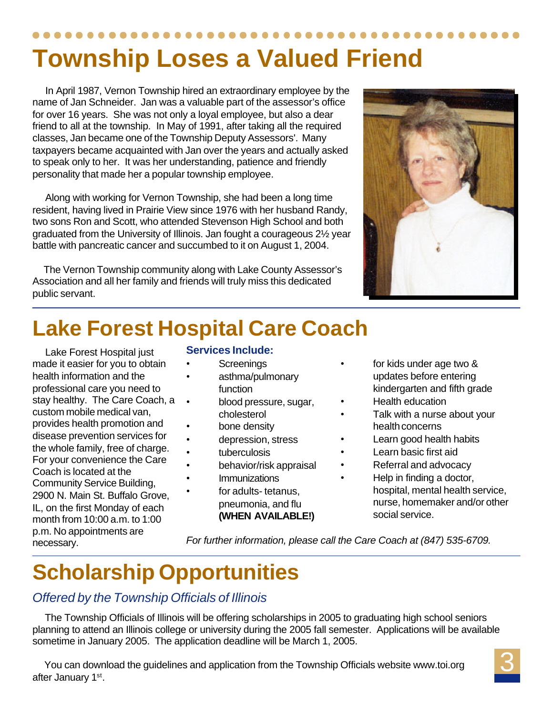## **Township Loses a Valued Friend**

 In April 1987, Vernon Township hired an extraordinary employee by the name of Jan Schneider. Jan was a valuable part of the assessor's office for over 16 years. She was not only a loyal employee, but also a dear friend to all at the township. In May of 1991, after taking all the required classes, Jan became one of the Township Deputy Assessors'. Many taxpayers became acquainted with Jan over the years and actually asked to speak only to her. It was her understanding, patience and friendly personality that made her a popular township employee.

 Along with working for Vernon Township, she had been a long time resident, having lived in Prairie View since 1976 with her husband Randy, two sons Ron and Scott, who attended Stevenson High School and both graduated from the University of Illinois. Jan fought a courageous 2½ year battle with pancreatic cancer and succumbed to it on August 1, 2004.

 The Vernon Township community along with Lake County Assessor's Association and all her family and friends will truly miss this dedicated public servant.



 Lake Forest Hospital just made it easier for you to obtain health information and the professional care you need to stay healthy. The Care Coach, a custom mobile medical van, provides health promotion and disease prevention services for the whole family, free of charge. For your convenience the Care Coach is located at the Community Service Building, 2900 N. Main St. Buffalo Grove, IL, on the first Monday of each month from 10:00 a.m. to 1:00 p.m. No appointments are necessary.

#### **Services Include:**

- **Screenings**
- asthma/pulmonary function
- blood pressure, sugar, cholesterol
	- bone density
	- depression, stress
	- tuberculosis
	- behavior/risk appraisal
	- **Immunizations**
	- for adults-tetanus. pneumonia, and flu **(WHEN AVAILABLE!)**
- for kids under age two & updates before entering kindergarten and fifth grade
- Health education
- Talk with a nurse about your health concerns
- Learn good health habits
- Learn basic first aid
- Referral and advocacy
	- Help in finding a doctor, hospital, mental health service, nurse, homemaker and/or other social service.

*For further information, please call the Care Coach at (847) 535-6709.*

## **Scholarship Opportunities**

#### *Offered by the Township Officials of Illinois*

 The Township Officials of Illinois will be offering scholarships in 2005 to graduating high school seniors planning to attend an Illinois college or university during the 2005 fall semester. Applications will be available sometime in January 2005. The application deadline will be March 1, 2005.

 You can download the guidelines and application from the Township Officials website www.toi.org after January 1<sup>st</sup>.

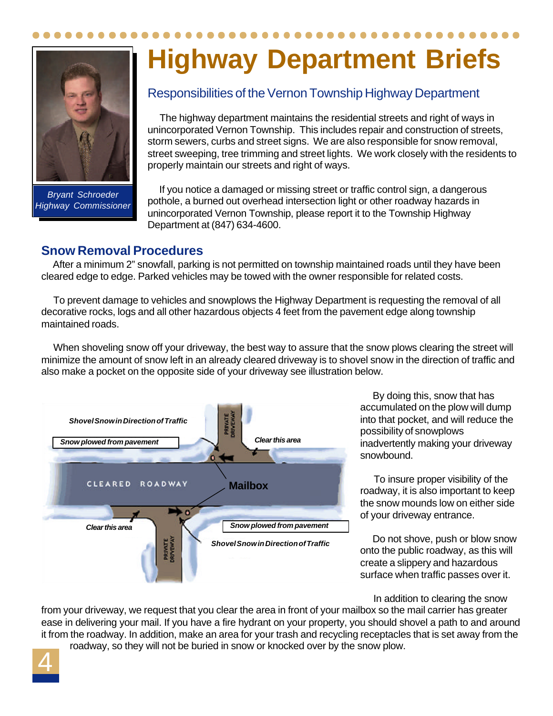

*Bryant Schroeder Highway Commissioner*

# **Highway Department Briefs**

#### Responsibilities of the Vernon Township Highway Department

 The highway department maintains the residential streets and right of ways in unincorporated Vernon Township. This includes repair and construction of streets, storm sewers, curbs and street signs. We are also responsible for snow removal, street sweeping, tree trimming and street lights. We work closely with the residents to properly maintain our streets and right of ways.

 If you notice a damaged or missing street or traffic control sign, a dangerous pothole, a burned out overhead intersection light or other roadway hazards in unincorporated Vernon Township, please report it to the Township Highway Department at (847) 634-4600.

#### **Snow Removal Procedures**

 After a minimum 2" snowfall, parking is not permitted on township maintained roads until they have been cleared edge to edge. Parked vehicles may be towed with the owner responsible for related costs.

 To prevent damage to vehicles and snowplows the Highway Department is requesting the removal of all decorative rocks, logs and all other hazardous objects 4 feet from the pavement edge along township maintained roads.

 When shoveling snow off your driveway, the best way to assure that the snow plows clearing the street will minimize the amount of snow left in an already cleared driveway is to shovel snow in the direction of traffic and also make a pocket on the opposite side of your driveway see illustration below.



 By doing this, snow that has accumulated on the plow will dump into that pocket, and will reduce the possibility of snowplows inadvertently making your driveway snowbound.

 To insure proper visibility of the roadway, it is also important to keep the snow mounds low on either side of your driveway entrance.

 Do not shove, push or blow snow onto the public roadway, as this will create a slippery and hazardous surface when traffic passes over it.

In addition to clearing the snow

from your driveway, we request that you clear the area in front of your mailbox so the mail carrier has greater ease in delivering your mail. If you have a fire hydrant on your property, you should shovel a path to and around it from the roadway. In addition, make an area for your trash and recycling receptacles that is set away from the roadway, so they will not be buried in snow or knocked over by the snow plow.

4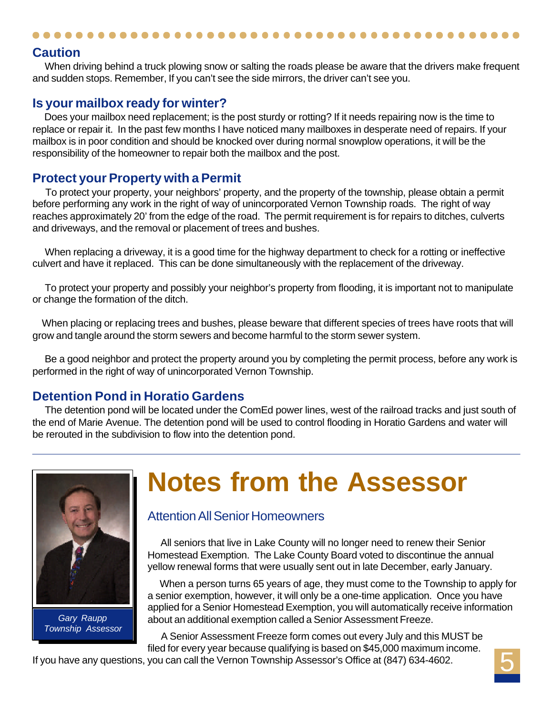#### **Caution**

When driving behind a truck plowing snow or salting the roads please be aware that the drivers make frequent and sudden stops. Remember, If you can't see the side mirrors, the driver can't see you.

#### **Is your mailbox ready for winter?**

 Does your mailbox need replacement; is the post sturdy or rotting? If it needs repairing now is the time to replace or repair it. In the past few months I have noticed many mailboxes in desperate need of repairs. If your mailbox is in poor condition and should be knocked over during normal snowplow operations, it will be the responsibility of the homeowner to repair both the mailbox and the post.

#### **Protect your Property with a Permit**

 To protect your property, your neighbors' property, and the property of the township, please obtain a permit before performing any work in the right of way of unincorporated Vernon Township roads. The right of way reaches approximately 20' from the edge of the road. The permit requirement is for repairs to ditches, culverts and driveways, and the removal or placement of trees and bushes.

 When replacing a driveway, it is a good time for the highway department to check for a rotting or ineffective culvert and have it replaced. This can be done simultaneously with the replacement of the driveway.

 To protect your property and possibly your neighbor's property from flooding, it is important not to manipulate or change the formation of the ditch.

 When placing or replacing trees and bushes, please beware that different species of trees have roots that will grow and tangle around the storm sewers and become harmful to the storm sewer system.

 Be a good neighbor and protect the property around you by completing the permit process, before any work is performed in the right of way of unincorporated Vernon Township.

#### **Detention Pond in Horatio Gardens**

 The detention pond will be located under the ComEd power lines, west of the railroad tracks and just south of the end of Marie Avenue. The detention pond will be used to control flooding in Horatio Gardens and water will be rerouted in the subdivision to flow into the detention pond.



*Gary Raupp Township Assessor*

## **Notes from the Assessor**

#### Attention All Senior Homeowners

 All seniors that live in Lake County will no longer need to renew their Senior Homestead Exemption. The Lake County Board voted to discontinue the annual yellow renewal forms that were usually sent out in late December, early January.

 When a person turns 65 years of age, they must come to the Township to apply for a senior exemption, however, it will only be a one-time application. Once you have applied for a Senior Homestead Exemption, you will automatically receive information about an additional exemption called a Senior Assessment Freeze.

 A Senior Assessment Freeze form comes out every July and this MUST be filed for every year because qualifying is based on \$45,000 maximum income.

If you have any questions, you can call the Vernon Township Assessor's Office at (847) 634-4602.

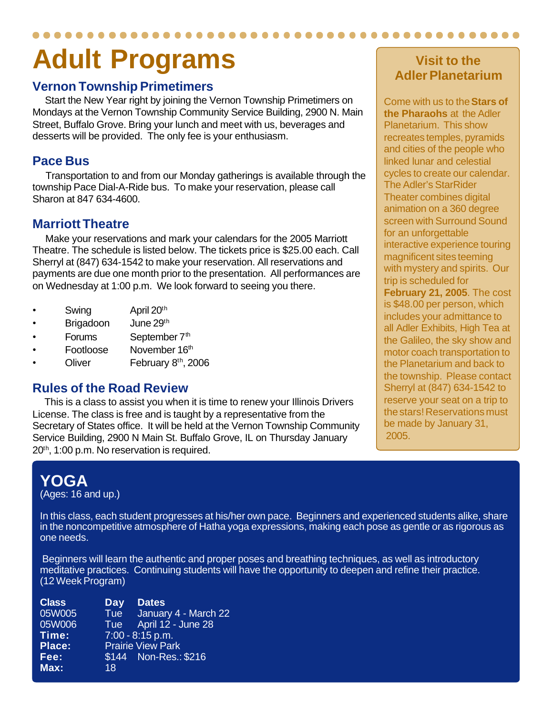## **Adult Programs**

#### **Vernon Township Primetimers**

 Start the New Year right by joining the Vernon Township Primetimers on Mondays at the Vernon Township Community Service Building, 2900 N. Main Street, Buffalo Grove. Bring your lunch and meet with us, beverages and desserts will be provided. The only fee is your enthusiasm.

#### **Pace Bus**

 Transportation to and from our Monday gatherings is available through the township Pace Dial-A-Ride bus. To make your reservation, please call Sharon at 847 634-4600.

#### **Marriott Theatre**

 Make your reservations and mark your calendars for the 2005 Marriott Theatre. The schedule is listed below. The tickets price is \$25.00 each. Call Sherryl at (847) 634-1542 to make your reservation. All reservations and payments are due one month prior to the presentation. All performances are on Wednesday at 1:00 p.m. We look forward to seeing you there.

- Swing April 20<sup>th</sup>
- Brigadoon June 29th
- Forums September 7<sup>th</sup>
- Footloose November 16th
- Oliver February 8<sup>th</sup>, 2006

#### **Rules of the Road Review**

 This is a class to assist you when it is time to renew your Illinois Drivers License. The class is free and is taught by a representative from the Secretary of States office. It will be held at the Vernon Township Community Service Building, 2900 N Main St. Buffalo Grove, IL on Thursday January 20<sup>th</sup>, 1:00 p.m. No reservation is required.

### **Visit to the Adler Planetarium**

Come with us to the **Stars of the Pharaohs** at the Adler Planetarium. This show recreates temples, pyramids and cities of the people who linked lunar and celestial cycles to create our calendar. The Adler's StarRider Theater combines digital animation on a 360 degree screen with Surround Sound for an unforgettable interactive experience touring magnificent sites teeming with mystery and spirits. Our trip is scheduled for **February 21, 2005**. The cost is \$48.00 per person, which includes your admittance to all Adler Exhibits, High Tea at the Galileo, the sky show and motor coach transportation to the Planetarium and back to the township. Please contact Sherryl at (847) 634-1542 to reserve your seat on a trip to the stars! Reservations must be made by January 31, 2005.

## **YOGA**

(Ages: 16 and up.)

In this class, each student progresses at his/her own pace. Beginners and experienced students alike, share in the noncompetitive atmosphere of Hatha yoga expressions, making each pose as gentle or as rigorous as one needs.

 Beginners will learn the authentic and proper poses and breathing techniques, as well as introductory meditative practices. Continuing students will have the opportunity to deepen and refine their practice. (12 Week Program)

| Day | <b>Dates</b>             |
|-----|--------------------------|
| Tue | January 4 - March 22     |
| Tue | April 12 - June 28       |
|     | $7:00 - 8:15$ p.m.       |
|     | <b>Prairie View Park</b> |
|     | \$144 Non-Res.: \$216    |
| 18  |                          |
|     |                          |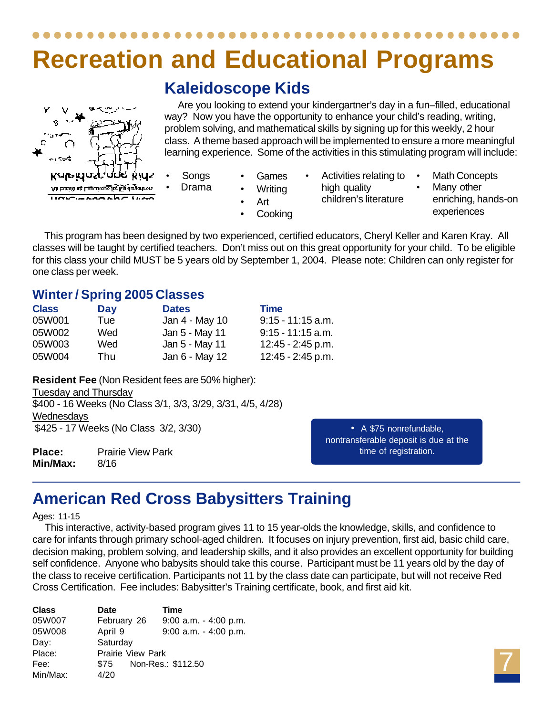## **Recreation and Educational Programs**

### **Kaleidoscope Kids**

 Are you looking to extend your kindergartner's day in a fun–filled, educational way? Now you have the opportunity to enhance your child's reading, writing, problem solving, and mathematical skills by signing up for this weekly, 2 hour class. A theme based approach will be implemented to ensure a more meaningful learning experience. Some of the activities in this stimulating program will include:

- **Songs** • Drama
- Games **Writing**
- Activities relating to high quality
	- children's literature
- Many other enriching, hands-on experiences

**Math Concepts** 

 This program has been designed by two experienced, certified educators, Cheryl Keller and Karen Kray. All classes will be taught by certified teachers. Don't miss out on this great opportunity for your child. To be eligible for this class your child MUST be 5 years old by September 1, 2004. Please note: Children can only register for one class per week.

• Art **Cooking** 

### **Winter / Spring 2005 Classes**

| <b>Class</b> | Day | <b>Dates</b>   | <b>Time</b>         |
|--------------|-----|----------------|---------------------|
| 05W001       | Tue | Jan 4 - May 10 | $9:15 - 11:15$ a.m. |
| 05W002       | Wed | Jan 5 - May 11 | $9:15 - 11:15$ a.m. |
| 05W003       | Wed | Jan 5 - May 11 | 12:45 - 2:45 p.m.   |
| 05W004       | Thu | Jan 6 - May 12 | 12:45 - 2:45 p.m.   |

**Resident Fee** (Non Resident fees are 50% higher): Tuesday and Thursday \$400 - 16 Weeks (No Class 3/1, 3/3, 3/29, 3/31, 4/5, 4/28) **Wednesdays** \$425 - 17 Weeks (No Class 3/2, 3/30)

**Place:** Prairie View Park **Min/Max:** 8/16

• A \$75 nonrefundable, nontransferable deposit is due at the time of registration.

## **American Red Cross Babysitters Training**

#### Ages: 11-15

ν R

Kaleida:

An Euriching L'agericance live Kinslangartnen **USSEMANAARE SAAS** 

 This interactive, activity-based program gives 11 to 15 year-olds the knowledge, skills, and confidence to care for infants through primary school-aged children. It focuses on injury prevention, first aid, basic child care, decision making, problem solving, and leadership skills, and it also provides an excellent opportunity for building self confidence. Anyone who babysits should take this course. Participant must be 11 years old by the day of the class to receive certification. Participants not 11 by the class date can participate, but will not receive Red Cross Certification. Fee includes: Babysitter's Training certificate, book, and first aid kit.

| <b>Class</b> | <b>Date</b>       | Time                     |  |  |
|--------------|-------------------|--------------------------|--|--|
| 05W007       | February 26       | $9:00$ a.m. $-4:00$ p.m. |  |  |
| 05W008       | April 9           | $9:00$ a.m. $-4:00$ p.m. |  |  |
| Day:         | Saturday          |                          |  |  |
| Place:       | Prairie View Park |                          |  |  |
| Fee:         | \$75              | Non-Res.: \$112.50       |  |  |
| Min/Max:     | 4/20              |                          |  |  |

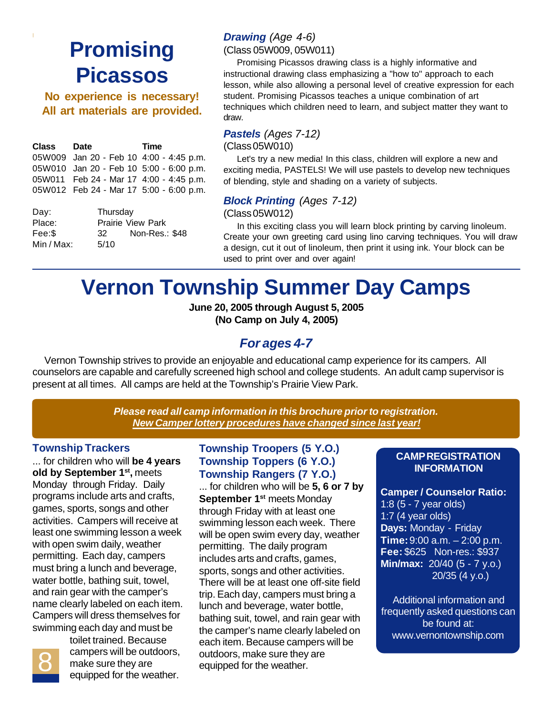## **Promising Picassos**

**No experience is necessary! All art materials are provided.**

| Class  | Date                                    | Time |
|--------|-----------------------------------------|------|
|        | 05W009 Jan 20 - Feb 10 4:00 - 4:45 p.m. |      |
|        | 05W010 Jan 20 - Feb 10 5:00 - 6:00 p.m. |      |
|        | 05W011 Feb 24 - Mar 17 4:00 - 4:45 p.m. |      |
|        | 05W012 Feb 24 - Mar 17 5:00 - 6:00 p.m. |      |
| Day:   | Thursday                                |      |
| Place: | <b>Prairie View Park</b>                |      |

| Place:     |      | <b>Prairie View Park</b> |
|------------|------|--------------------------|
| Fee:\$     | 32   | Non-Res.: \$48           |
| Min / Max: | 5/10 |                          |

#### *Drawing (Age 4-6)*

(Class 05W009, 05W011)

 Promising Picassos drawing class is a highly informative and instructional drawing class emphasizing a "how to" approach to each lesson, while also allowing a personal level of creative expression for each student. Promising Picassos teaches a unique combination of art techniques which children need to learn, and subject matter they want to draw.

#### *Pastels (Ages 7-12)*

(Class 05W010)

 Let's try a new media! In this class, children will explore a new and exciting media, PASTELS! We will use pastels to develop new techniques of blending, style and shading on a variety of subjects.

#### *Block Printing (Ages 7-12)*

(Class 05W012)

 In this exciting class you will learn block printing by carving linoleum. Create your own greeting card using lino carving techniques. You will draw a design, cut it out of linoleum, then print it using ink. Your block can be used to print over and over again!

## **Vernon Township Summer Day Camps**

**June 20, 2005 through August 5, 2005 (No Camp on July 4, 2005)**

#### *For ages 4-7*

 Vernon Township strives to provide an enjoyable and educational camp experience for its campers. All counselors are capable and carefully screened high school and college students. An adult camp supervisor is present at all times. All camps are held at the Township's Prairie View Park.

> *Please read all camp information in this brochure prior to registration. New Camper lottery procedures have changed since last year!*

#### **Township Trackers**

... for children who will **be 4 years old by September 1st ,** meets Monday through Friday. Daily programs include arts and crafts, games, sports, songs and other activities. Campers will receive at least one swimming lesson a week with open swim daily, weather permitting. Each day, campers must bring a lunch and beverage, water bottle, bathing suit, towel, and rain gear with the camper's name clearly labeled on each item. Campers will dress themselves for swimming each day and must be



toilet trained. Because campers will be outdoors, make sure they are equipped for the weather.

#### **Township Troopers (5 Y.O.) Township Toppers (6 Y.O.) Township Rangers (7 Y.O.)**

... for children who will be **5, 6 or 7 by September 1st** meets Monday through Friday with at least one swimming lesson each week. There will be open swim every day, weather permitting. The daily program includes arts and crafts, games, sports, songs and other activities. There will be at least one off-site field trip. Each day, campers must bring a lunch and beverage, water bottle, bathing suit, towel, and rain gear with the camper's name clearly labeled on each item. Because campers will be outdoors, make sure they are equipped for the weather.

#### **CAMP REGISTRATION INFORMATION**

**Camper / Counselor Ratio:** 1:8 (5 - 7 year olds) 1:7 (4 year olds) **Days:** Monday - Friday **Time:** 9:00 a.m. – 2:00 p.m. **Fee:** \$625 Non-res.: \$937 **Min/max:** 20/40 (5 - 7 y.o.) 20/35 (4 y.o.)

Additional information and frequently asked questions can be found at: www.vernontownship.com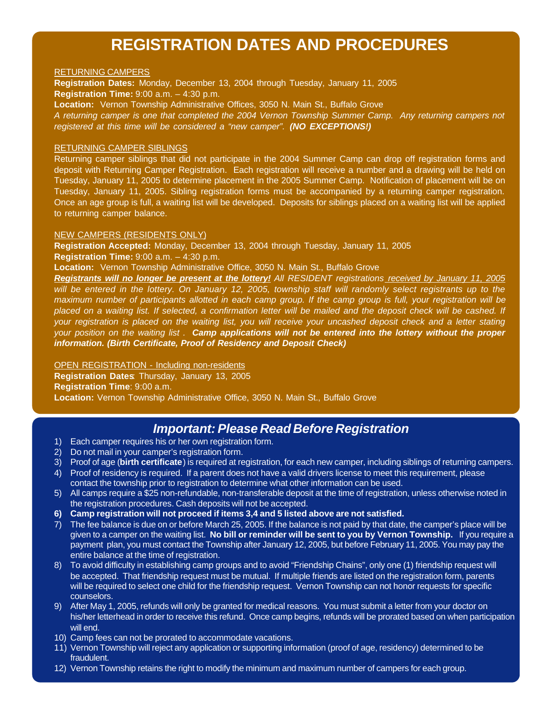### **REGISTRATION DATES AND PROCEDURES**

#### RETURNING CAMPERS

**Registration Dates:** Monday, December 13, 2004 through Tuesday, January 11, 2005 **Registration Time:** 9:00 a.m. – 4:30 p.m. **Location:** Vernon Township Administrative Offices, 3050 N. Main St., Buffalo Grove *A returning camper is one that completed the 2004 Vernon Township Summer Camp. Any returning campers not registered at this time will be considered a "new camper". (NO EXCEPTIONS!)*

#### RETURNING CAMPER SIBLINGS

Returning camper siblings that did not participate in the 2004 Summer Camp can drop off registration forms and deposit with Returning Camper Registration. Each registration will receive a number and a drawing will be held on Tuesday, January 11, 2005 to determine placement in the 2005 Summer Camp. Notification of placement will be on Tuesday, January 11, 2005. Sibling registration forms must be accompanied by a returning camper registration. Once an age group is full, a waiting list will be developed. Deposits for siblings placed on a waiting list will be applied to returning camper balance.

#### NEW CAMPERS (RESIDENTS ONLY)

**Registration Accepted:** Monday, December 13, 2004 through Tuesday, January 11, 2005 **Registration Time:** 9:00 a.m. – 4:30 p.m.

**Location:** Vernon Township Administrative Office, 3050 N. Main St., Buffalo Grove

*Registrants will no longer be present at the lottery! All RESIDENT registrations received by January 11, 2005 will be entered in the lottery. On January 12, 2005, township staff will randomly select registrants up to the maximum number of participants allotted in each camp group. If the camp group is full, your registration will be placed on a waiting list. If selected, a confirmation letter will be mailed and the deposit check will be cashed. If your registration is placed on the waiting list, you will receive your uncashed deposit check and a letter stating your position on the waiting list . Camp applications will not be entered into the lottery without the proper information. (Birth Certificate, Proof of Residency and Deposit Check)*

#### OPEN REGISTRATION - Including non-residents

**Registration Dates**: Thursday, January 13, 2005 **Registration Time**: 9:00 a.m. **Location:** Vernon Township Administrative Office, 3050 N. Main St., Buffalo Grove

#### *Important: Please Read Before Registration*

- 1) Each camper requires his or her own registration form.
- 2) Do not mail in your camper's registration form.<br>3) Proof of age (**birth certificate**) is required at re
- 3) Proof of age (**birth certificate**) is required at registration, for each new camper, including siblings of returning campers.
- 4) Proof of residency is required. If a parent does not have a valid drivers license to meet this requirement, please contact the township prior to registration to determine what other information can be used.
- 5) All camps require a \$25 non-refundable, non-transferable deposit at the time of registration, unless otherwise noted in the registration procedures. Cash deposits will not be accepted.
- **6) Camp registration will not proceed if items 3,4 and 5 listed above are not satisfied.**
- 7) The fee balance is due on or before March 25, 2005. If the balance is not paid by that date, the camper's place will be given to a camper on the waiting list. **No bill or reminder will be sent to you by Vernon Township.** If you require a payment plan, you must contact the Township after January 12, 2005, but before February 11, 2005. You may pay the entire balance at the time of registration.
- 8) To avoid difficulty in establishing camp groups and to avoid "Friendship Chains", only one (1) friendship request will be accepted. That friendship request must be mutual. If multiple friends are listed on the registration form, parents will be required to select one child for the friendship request. Vernon Township can not honor requests for specific counselors.
- 9) After May 1, 2005, refunds will only be granted for medical reasons. You must submit a letter from your doctor on his/her letterhead in order to receive this refund. Once camp begins, refunds will be prorated based on when participation will end.
- 10) Camp fees can not be prorated to accommodate vacations.
- 11) Vernon Township will reject any application or supporting information (proof of age, residency) determined to be fraudulent.
- 12) Vernon Township retains the right to modify the minimum and maximum number of campers for each group.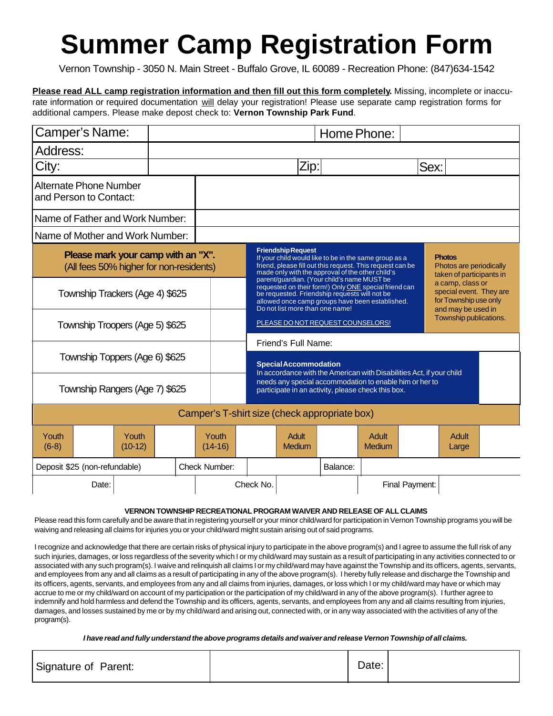## **Summer Camp Registration Form**

Vernon Township - 3050 N. Main Street - Buffalo Grove, IL 60089 - Recreation Phone: (847)634-1542

**Please read ALL camp registration information and then fill out this form completely.** Missing, incomplete or inaccurate information or required documentation will delay your registration! Please use separate camp registration forms for additional campers. Please make depost check to: **Vernon Township Park Fund**.

| Camper's Name:                                                                |                    | Home Phone: |                                                                                                                                                                 |                                                                                                                                                                                                                                                                                                                                           |                                                                               |          |                                                                                                                    |      |                                                                      |  |
|-------------------------------------------------------------------------------|--------------------|-------------|-----------------------------------------------------------------------------------------------------------------------------------------------------------------|-------------------------------------------------------------------------------------------------------------------------------------------------------------------------------------------------------------------------------------------------------------------------------------------------------------------------------------------|-------------------------------------------------------------------------------|----------|--------------------------------------------------------------------------------------------------------------------|------|----------------------------------------------------------------------|--|
| Address:                                                                      |                    |             |                                                                                                                                                                 |                                                                                                                                                                                                                                                                                                                                           |                                                                               |          |                                                                                                                    |      |                                                                      |  |
| City:                                                                         |                    |             |                                                                                                                                                                 |                                                                                                                                                                                                                                                                                                                                           | Zip:                                                                          |          |                                                                                                                    | Sex: |                                                                      |  |
| Alternate Phone Number<br>and Person to Contact:                              |                    |             |                                                                                                                                                                 |                                                                                                                                                                                                                                                                                                                                           |                                                                               |          |                                                                                                                    |      |                                                                      |  |
| Name of Father and Work Number:                                               |                    |             |                                                                                                                                                                 |                                                                                                                                                                                                                                                                                                                                           |                                                                               |          |                                                                                                                    |      |                                                                      |  |
| Name of Mother and Work Number:                                               |                    |             |                                                                                                                                                                 |                                                                                                                                                                                                                                                                                                                                           |                                                                               |          |                                                                                                                    |      |                                                                      |  |
| Please mark your camp with an "X".<br>(All fees 50% higher for non-residents) |                    |             |                                                                                                                                                                 |                                                                                                                                                                                                                                                                                                                                           | <b>Friendship Request</b><br>made only with the approval of the other child's |          | If your child would like to be in the same group as a<br>friend, please fill out this request. This request can be |      | <b>Photos</b><br>Photos are periodically<br>taken of participants in |  |
| Township Trackers (Age 4) \$625                                               |                    |             |                                                                                                                                                                 | parent/guardian. (Your child's name MUST be<br>a camp, class or<br>requested on their form!) Only ONE special friend can<br>special event. They are<br>be requested. Friendship requests will not be<br>for Township use only<br>allowed once camp groups have been established.<br>Do not list more than one name!<br>and may be used in |                                                                               |          |                                                                                                                    |      |                                                                      |  |
| Township Troopers (Age 5) \$625                                               |                    |             |                                                                                                                                                                 |                                                                                                                                                                                                                                                                                                                                           | PLEASE DO NOT REQUEST COUNSELORS!                                             |          |                                                                                                                    |      | Township publications.                                               |  |
|                                                                               |                    |             |                                                                                                                                                                 |                                                                                                                                                                                                                                                                                                                                           | Friend's Full Name:                                                           |          |                                                                                                                    |      |                                                                      |  |
| Township Toppers (Age 6) \$625                                                |                    |             | <b>Special Accommodation</b><br>In accordance with the American with Disabilities Act, if your child<br>needs any special accommodation to enable him or her to |                                                                                                                                                                                                                                                                                                                                           |                                                                               |          |                                                                                                                    |      |                                                                      |  |
| Township Rangers (Age 7) \$625                                                |                    |             |                                                                                                                                                                 |                                                                                                                                                                                                                                                                                                                                           |                                                                               |          | participate in an activity, please check this box.                                                                 |      |                                                                      |  |
| Camper's T-shirt size (check appropriate box)                                 |                    |             |                                                                                                                                                                 |                                                                                                                                                                                                                                                                                                                                           |                                                                               |          |                                                                                                                    |      |                                                                      |  |
| Youth<br>$(6-8)$                                                              | Youth<br>$(10-12)$ |             | Youth<br>$(14-16)$                                                                                                                                              |                                                                                                                                                                                                                                                                                                                                           | <b>Adult</b><br><b>Medium</b>                                                 |          | <b>Adult</b><br>Medium                                                                                             |      | <b>Adult</b><br>Large                                                |  |
| Deposit \$25 (non-refundable)                                                 |                    |             | Check Number:                                                                                                                                                   |                                                                                                                                                                                                                                                                                                                                           |                                                                               | Balance: |                                                                                                                    |      |                                                                      |  |
| Date:                                                                         |                    |             |                                                                                                                                                                 | Check No.                                                                                                                                                                                                                                                                                                                                 |                                                                               |          | Final Payment:                                                                                                     |      |                                                                      |  |

#### **VERNON TOWNSHIP RECREATIONAL PROGRAM WAIVER AND RELEASE OF ALL CLAIMS**

Please read this form carefully and be aware that in registering yourself or your minor child/ward for participation in Vernon Township programs you will be waiving and releasing all claims for injuries you or your child/ward might sustain arising out of said programs.

I recognize and acknowledge that there are certain risks of physical injury to participate in the above program(s) and I agree to assume the full risk of any such injuries, damages, or loss regardless of the severity which I or my child/ward may sustain as a result of participating in any activities connected to or associated with any such program(s). I waive and relinquish all claims I or my child/ward may have against the Township and its officers, agents, servants, and employees from any and all claims as a result of participating in any of the above program(s). I hereby fully release and discharge the Township and its officers, agents, servants, and employees from any and all claims from injuries, damages, or loss which I or my child/ward may have or which may accrue to me or my child/ward on account of my participation or the participation of my child/ward in any of the above program(s). I further agree to indemnify and hold harmless and defend the Township and its officers, agents, servants, and employees from any and all claims resulting from injuries, damages, and losses sustained by me or by my child/ward and arising out, connected with, or in any way associated with the activities of any of the program(s).

*I have read and fully understand the above programs details and waiver and release Vernon Township of all claims.*

| Date:<br>Signature of Parent: |  |
|-------------------------------|--|
|-------------------------------|--|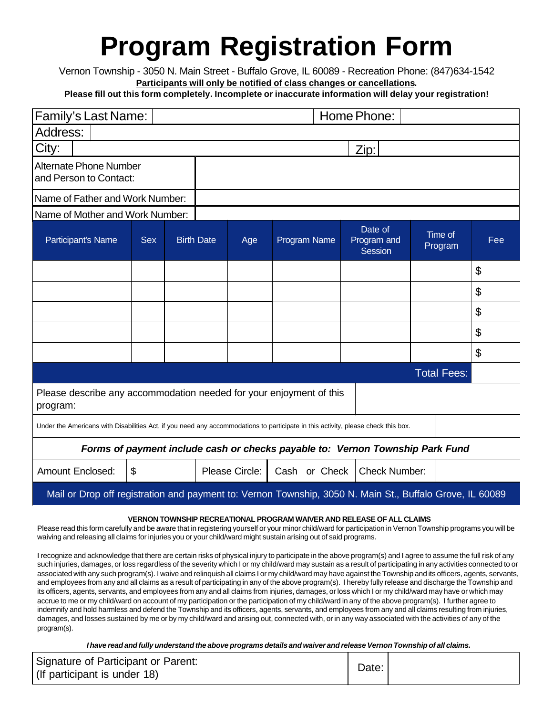## **Program Registration Form**

Vernon Township - 3050 N. Main Street - Buffalo Grove, IL 60089 - Recreation Phone: (847)634-1542 **Participants will only be notified of class changes or cancellations.**

**Please fill out this form completely. Incomplete or inaccurate information will delay your registration!**

| <b>Family's Last Name:</b><br>Home Phone:                                                                                         |                       |  |                   |                |               |                                   |  |                    |     |
|-----------------------------------------------------------------------------------------------------------------------------------|-----------------------|--|-------------------|----------------|---------------|-----------------------------------|--|--------------------|-----|
| Address:                                                                                                                          |                       |  |                   |                |               |                                   |  |                    |     |
| City:                                                                                                                             |                       |  |                   |                |               | Zip:                              |  |                    |     |
| <b>Alternate Phone Number</b><br>and Person to Contact:                                                                           |                       |  |                   |                |               |                                   |  |                    |     |
| Name of Father and Work Number:                                                                                                   |                       |  |                   |                |               |                                   |  |                    |     |
| Name of Mother and Work Number:                                                                                                   |                       |  |                   |                |               |                                   |  |                    |     |
| Participant's Name                                                                                                                | Sex.                  |  | <b>Birth Date</b> | Age            | Program Name  | Date of<br>Program and<br>Session |  | Time of<br>Program | Fee |
|                                                                                                                                   |                       |  |                   |                |               |                                   |  |                    | \$  |
|                                                                                                                                   |                       |  |                   |                |               |                                   |  |                    | \$  |
|                                                                                                                                   |                       |  |                   |                |               |                                   |  |                    | \$  |
|                                                                                                                                   |                       |  |                   |                |               |                                   |  |                    | \$  |
|                                                                                                                                   |                       |  |                   |                |               |                                   |  |                    | \$  |
|                                                                                                                                   | <b>Total Fees:</b>    |  |                   |                |               |                                   |  |                    |     |
| Please describe any accommodation needed for your enjoyment of this<br>program:                                                   |                       |  |                   |                |               |                                   |  |                    |     |
| Under the Americans with Disabilities Act, if you need any accommodations to participate in this activity, please check this box. |                       |  |                   |                |               |                                   |  |                    |     |
| Forms of payment include cash or checks payable to: Vernon Township Park Fund                                                     |                       |  |                   |                |               |                                   |  |                    |     |
| <b>Amount Enclosed:</b>                                                                                                           | $\boldsymbol{\theta}$ |  |                   | Please Circle: | Cash or Check | <b>Check Number:</b>              |  |                    |     |
| Mail or Drop off registration and payment to: Vernon Township, 3050 N. Main St., Buffalo Grove, IL 60089                          |                       |  |                   |                |               |                                   |  |                    |     |

#### **VERNON TOWNSHIP RECREATIONAL PROGRAM WAIVER AND RELEASE OF ALL CLAIMS**

Please read this form carefully and be aware that in registering yourself or your minor child/ward for participation in Vernon Township programs you will be waiving and releasing all claims for injuries you or your child/ward might sustain arising out of said programs.

I recognize and acknowledge that there are certain risks of physical injury to participate in the above program(s) and I agree to assume the full risk of any such injuries, damages, or loss regardless of the severity which I or my child/ward may sustain as a result of participating in any activities connected to or associated with any such program(s). I waive and relinquish all claims I or my child/ward may have against the Township and its officers, agents, servants, and employees from any and all claims as a result of participating in any of the above program(s). I hereby fully release and discharge the Township and its officers, agents, servants, and employees from any and all claims from injuries, damages, or loss which I or my child/ward may have or which may accrue to me or my child/ward on account of my participation or the participation of my child/ward in any of the above program(s). I further agree to indemnify and hold harmless and defend the Township and its officers, agents, servants, and employees from any and all claims resulting from injuries, damages, and losses sustained by me or by my child/ward and arising out, connected with, or in any way associated with the activities of any of the program(s).

*I have read and fully understand the above programs details and waiver and release Vernon Township of all claims.*

| Signature of Participant or Parent:<br>(If participant is under 18) |  | Date: |  |
|---------------------------------------------------------------------|--|-------|--|
|---------------------------------------------------------------------|--|-------|--|